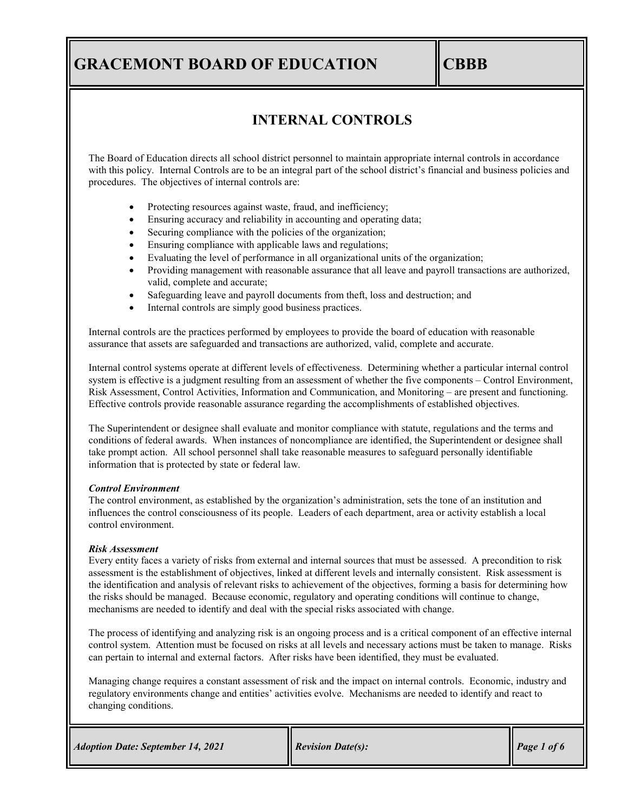### **INTERNAL CONTROLS**

The Board of Education directs all school district personnel to maintain appropriate internal controls in accordance with this policy. Internal Controls are to be an integral part of the school district's financial and business policies and procedures. The objectives of internal controls are:

- Protecting resources against waste, fraud, and inefficiency;
- Ensuring accuracy and reliability in accounting and operating data;
- Securing compliance with the policies of the organization;
- Ensuring compliance with applicable laws and regulations;
- Evaluating the level of performance in all organizational units of the organization;
- Providing management with reasonable assurance that all leave and payroll transactions are authorized, valid, complete and accurate;
- Safeguarding leave and payroll documents from theft, loss and destruction; and
- Internal controls are simply good business practices.

Internal controls are the practices performed by employees to provide the board of education with reasonable assurance that assets are safeguarded and transactions are authorized, valid, complete and accurate.

Internal control systems operate at different levels of effectiveness. Determining whether a particular internal control system is effective is a judgment resulting from an assessment of whether the five components – Control Environment, Risk Assessment, Control Activities, Information and Communication, and Monitoring – are present and functioning. Effective controls provide reasonable assurance regarding the accomplishments of established objectives.

The Superintendent or designee shall evaluate and monitor compliance with statute, regulations and the terms and conditions of federal awards. When instances of noncompliance are identified, the Superintendent or designee shall take prompt action. All school personnel shall take reasonable measures to safeguard personally identifiable information that is protected by state or federal law.

### *Control Environment*

The control environment, as established by the organization's administration, sets the tone of an institution and influences the control consciousness of its people. Leaders of each department, area or activity establish a local control environment.

### *Risk Assessment*

Every entity faces a variety of risks from external and internal sources that must be assessed. A precondition to risk assessment is the establishment of objectives, linked at different levels and internally consistent. Risk assessment is the identification and analysis of relevant risks to achievement of the objectives, forming a basis for determining how the risks should be managed. Because economic, regulatory and operating conditions will continue to change, mechanisms are needed to identify and deal with the special risks associated with change.

The process of identifying and analyzing risk is an ongoing process and is a critical component of an effective internal control system. Attention must be focused on risks at all levels and necessary actions must be taken to manage. Risks can pertain to internal and external factors. After risks have been identified, they must be evaluated.

Managing change requires a constant assessment of risk and the impact on internal controls. Economic, industry and regulatory environments change and entities' activities evolve. Mechanisms are needed to identify and react to changing conditions.

| <b>Adoption Date: September 14, 2021</b> | <b>Revision Date(s):</b> | Page 1 of 6 |
|------------------------------------------|--------------------------|-------------|
|------------------------------------------|--------------------------|-------------|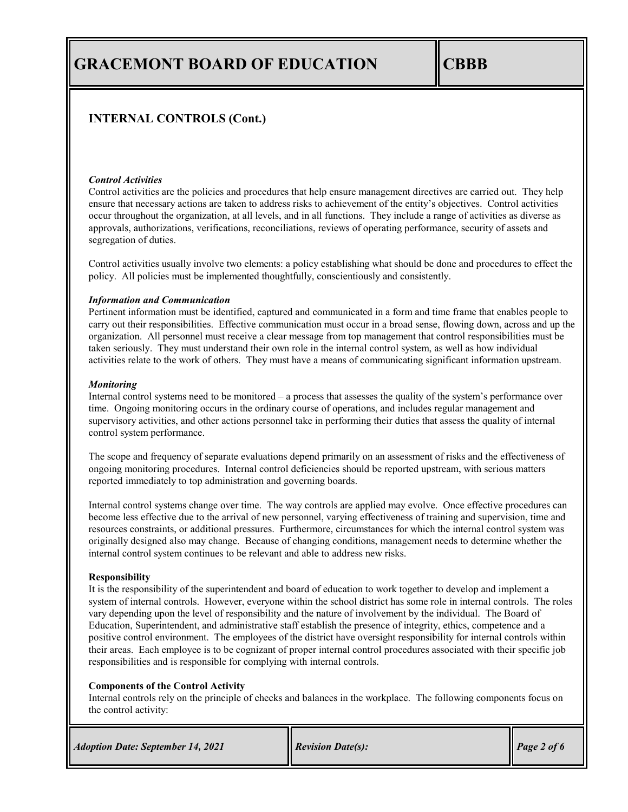### **INTERNAL CONTROLS (Cont.)**

### *Control Activities*

Control activities are the policies and procedures that help ensure management directives are carried out. They help ensure that necessary actions are taken to address risks to achievement of the entity's objectives. Control activities occur throughout the organization, at all levels, and in all functions. They include a range of activities as diverse as approvals, authorizations, verifications, reconciliations, reviews of operating performance, security of assets and segregation of duties.

Control activities usually involve two elements: a policy establishing what should be done and procedures to effect the policy. All policies must be implemented thoughtfully, conscientiously and consistently.

#### *Information and Communication*

Pertinent information must be identified, captured and communicated in a form and time frame that enables people to carry out their responsibilities. Effective communication must occur in a broad sense, flowing down, across and up the organization. All personnel must receive a clear message from top management that control responsibilities must be taken seriously. They must understand their own role in the internal control system, as well as how individual activities relate to the work of others. They must have a means of communicating significant information upstream.

#### *Monitoring*

Internal control systems need to be monitored – a process that assesses the quality of the system's performance over time. Ongoing monitoring occurs in the ordinary course of operations, and includes regular management and supervisory activities, and other actions personnel take in performing their duties that assess the quality of internal control system performance.

The scope and frequency of separate evaluations depend primarily on an assessment of risks and the effectiveness of ongoing monitoring procedures. Internal control deficiencies should be reported upstream, with serious matters reported immediately to top administration and governing boards.

Internal control systems change over time. The way controls are applied may evolve. Once effective procedures can become less effective due to the arrival of new personnel, varying effectiveness of training and supervision, time and resources constraints, or additional pressures. Furthermore, circumstances for which the internal control system was originally designed also may change. Because of changing conditions, management needs to determine whether the internal control system continues to be relevant and able to address new risks.

#### **Responsibility**

It is the responsibility of the superintendent and board of education to work together to develop and implement a system of internal controls. However, everyone within the school district has some role in internal controls. The roles vary depending upon the level of responsibility and the nature of involvement by the individual. The Board of Education, Superintendent, and administrative staff establish the presence of integrity, ethics, competence and a positive control environment. The employees of the district have oversight responsibility for internal controls within their areas. Each employee is to be cognizant of proper internal control procedures associated with their specific job responsibilities and is responsible for complying with internal controls.

#### **Components of the Control Activity**

Internal controls rely on the principle of checks and balances in the workplace. The following components focus on the control activity:

| <b>Adoption Date: September 14, 2021</b> | <b>Revision Date(s):</b> | Page 2 of 6 |
|------------------------------------------|--------------------------|-------------|
|------------------------------------------|--------------------------|-------------|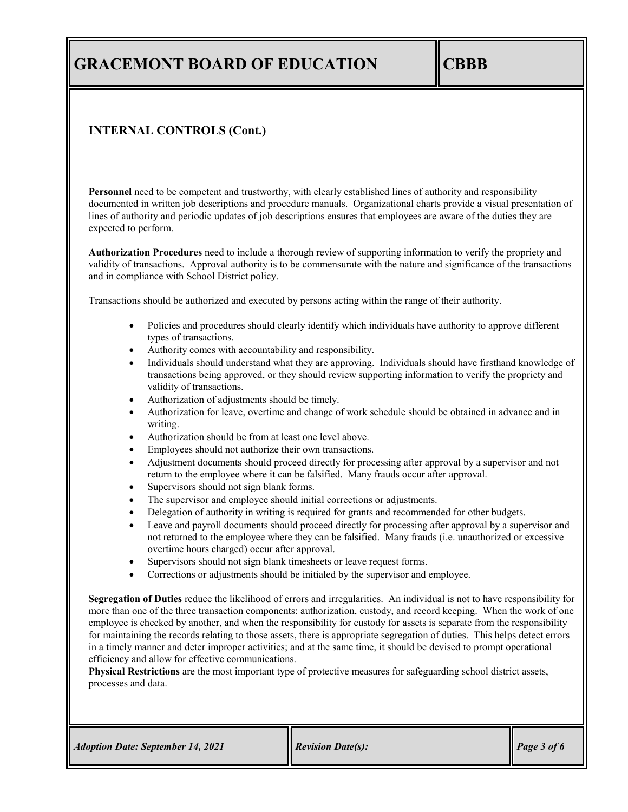### **INTERNAL CONTROLS (Cont.)**

**Personnel** need to be competent and trustworthy, with clearly established lines of authority and responsibility documented in written job descriptions and procedure manuals. Organizational charts provide a visual presentation of lines of authority and periodic updates of job descriptions ensures that employees are aware of the duties they are expected to perform.

**Authorization Procedures** need to include a thorough review of supporting information to verify the propriety and validity of transactions. Approval authority is to be commensurate with the nature and significance of the transactions and in compliance with School District policy.

Transactions should be authorized and executed by persons acting within the range of their authority.

- Policies and procedures should clearly identify which individuals have authority to approve different types of transactions.
- Authority comes with accountability and responsibility.
- Individuals should understand what they are approving. Individuals should have firsthand knowledge of transactions being approved, or they should review supporting information to verify the propriety and validity of transactions.
- Authorization of adjustments should be timely.
- Authorization for leave, overtime and change of work schedule should be obtained in advance and in writing.
- Authorization should be from at least one level above.
- Employees should not authorize their own transactions.
- Adjustment documents should proceed directly for processing after approval by a supervisor and not return to the employee where it can be falsified. Many frauds occur after approval.
- Supervisors should not sign blank forms.
- The supervisor and employee should initial corrections or adjustments.
- Delegation of authority in writing is required for grants and recommended for other budgets.
- Leave and payroll documents should proceed directly for processing after approval by a supervisor and not returned to the employee where they can be falsified. Many frauds (i.e. unauthorized or excessive overtime hours charged) occur after approval.
- Supervisors should not sign blank timesheets or leave request forms.
- Corrections or adjustments should be initialed by the supervisor and employee.

**Segregation of Duties** reduce the likelihood of errors and irregularities. An individual is not to have responsibility for more than one of the three transaction components: authorization, custody, and record keeping. When the work of one employee is checked by another, and when the responsibility for custody for assets is separate from the responsibility for maintaining the records relating to those assets, there is appropriate segregation of duties. This helps detect errors in a timely manner and deter improper activities; and at the same time, it should be devised to prompt operational efficiency and allow for effective communications.

**Physical Restrictions** are the most important type of protective measures for safeguarding school district assets, processes and data.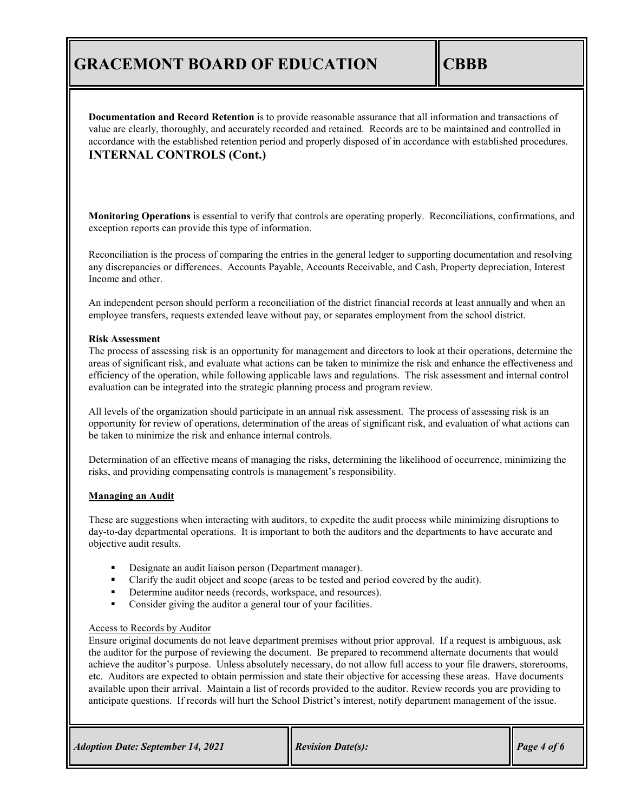**Documentation and Record Retention** is to provide reasonable assurance that all information and transactions of value are clearly, thoroughly, and accurately recorded and retained. Records are to be maintained and controlled in accordance with the established retention period and properly disposed of in accordance with established procedures. **INTERNAL CONTROLS (Cont.)**

**Monitoring Operations** is essential to verify that controls are operating properly. Reconciliations, confirmations, and exception reports can provide this type of information.

Reconciliation is the process of comparing the entries in the general ledger to supporting documentation and resolving any discrepancies or differences. Accounts Payable, Accounts Receivable, and Cash, Property depreciation, Interest Income and other.

An independent person should perform a reconciliation of the district financial records at least annually and when an employee transfers, requests extended leave without pay, or separates employment from the school district.

### **Risk Assessment**

The process of assessing risk is an opportunity for management and directors to look at their operations, determine the areas of significant risk, and evaluate what actions can be taken to minimize the risk and enhance the effectiveness and efficiency of the operation, while following applicable laws and regulations. The risk assessment and internal control evaluation can be integrated into the strategic planning process and program review.

All levels of the organization should participate in an annual risk assessment. The process of assessing risk is an opportunity for review of operations, determination of the areas of significant risk, and evaluation of what actions can be taken to minimize the risk and enhance internal controls.

Determination of an effective means of managing the risks, determining the likelihood of occurrence, minimizing the risks, and providing compensating controls is management's responsibility.

### **Managing an Audit**

These are suggestions when interacting with auditors, to expedite the audit process while minimizing disruptions to day-to-day departmental operations. It is important to both the auditors and the departments to have accurate and objective audit results.

- **•** Designate an audit liaison person (Department manager).
- Clarify the audit object and scope (areas to be tested and period covered by the audit).
- Determine auditor needs (records, workspace, and resources).
- Consider giving the auditor a general tour of your facilities.

#### Access to Records by Auditor

Ensure original documents do not leave department premises without prior approval. If a request is ambiguous, ask the auditor for the purpose of reviewing the document. Be prepared to recommend alternate documents that would achieve the auditor's purpose. Unless absolutely necessary, do not allow full access to your file drawers, storerooms, etc. Auditors are expected to obtain permission and state their objective for accessing these areas. Have documents available upon their arrival. Maintain a list of records provided to the auditor. Review records you are providing to anticipate questions. If records will hurt the School District's interest, notify department management of the issue.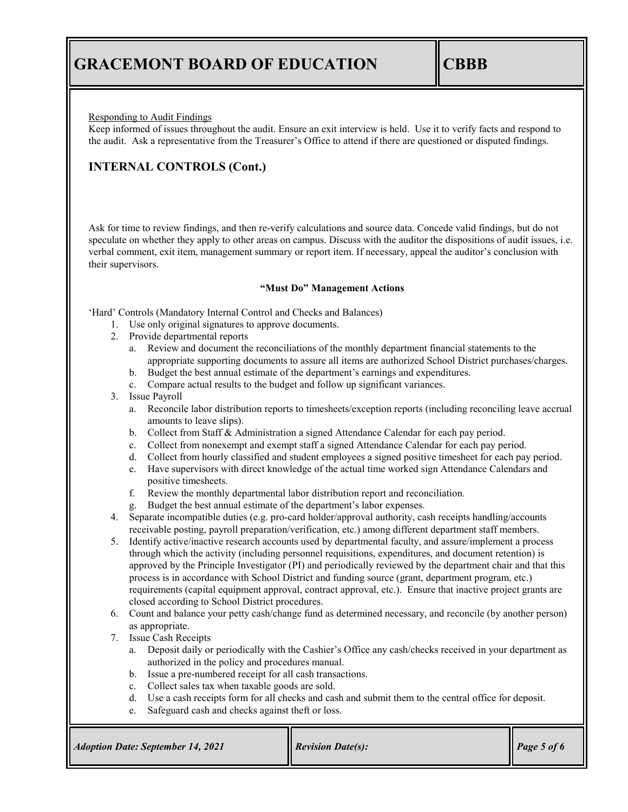### Responding to Audit Findings

Keep informed of issues throughout the audit. Ensure an exit interview is held. Use it to verify facts and respond to the audit. Ask a representative from the Treasurer's Office to attend if there are questioned or disputed findings.

### **INTERNAL CONTROLS (Cont.)**

Ask for time to review findings, and then re-verify calculations and source data. Concede valid findings, but do not speculate on whether they apply to other areas on campus. Discuss with the auditor the dispositions of audit issues, i.e. verbal comment, exit item, management summary or report item. If necessary, appeal the auditor's conclusion with their supervisors.

### **"Must Do" Management Actions**

'Hard' Controls (Mandatory Internal Control and Checks and Balances)

- 1. Use only original signatures to approve documents.
- 2. Provide departmental reports
	- a. Review and document the reconciliations of the monthly department financial statements to the appropriate supporting documents to assure all items are authorized School District purchases/charges.
	- b. Budget the best annual estimate of the department's earnings and expenditures.
	- c. Compare actual results to the budget and follow up significant variances.
- 3. Issue Payroll
	- a. Reconcile labor distribution reports to timesheets/exception reports (including reconciling leave accrual amounts to leave slips).
	- b. Collect from Staff & Administration a signed Attendance Calendar for each pay period.
	- c. Collect from nonexempt and exempt staff a signed Attendance Calendar for each pay period.
	- d. Collect from hourly classified and student employees a signed positive timesheet for each pay period.
	- e. Have supervisors with direct knowledge of the actual time worked sign Attendance Calendars and positive timesheets.
	- f. Review the monthly departmental labor distribution report and reconciliation.
	- g. Budget the best annual estimate of the department's labor expenses.
- 4. Separate incompatible duties (e.g. pro-card holder/approval authority, cash receipts handling/accounts receivable posting, payroll preparation/verification, etc.) among different department staff members.
- 5. Identify active/inactive research accounts used by departmental faculty, and assure/implement a process through which the activity (including personnel requisitions, expenditures, and document retention) is approved by the Principle Investigator (PI) and periodically reviewed by the department chair and that this process is in accordance with School District and funding source (grant, department program, etc.) requirements (capital equipment approval, contract approval, etc.). Ensure that inactive project grants are closed according to School District procedures.
- 6. Count and balance your petty cash/change fund as determined necessary, and reconcile (by another person) as appropriate.
- 7. Issue Cash Receipts
	- a. Deposit daily or periodically with the Cashier's Office any cash/checks received in your department as authorized in the policy and procedures manual.
	- b. Issue a pre-numbered receipt for all cash transactions.
	- c. Collect sales tax when taxable goods are sold.
	- d. Use a cash receipts form for all checks and cash and submit them to the central office for deposit.
	- e. Safeguard cash and checks against theft or loss.

| <b>Adoption Date: September 14, 2021</b> | <b>Revision Date(s):</b> | Page 5 of 6 |
|------------------------------------------|--------------------------|-------------|
|                                          |                          |             |